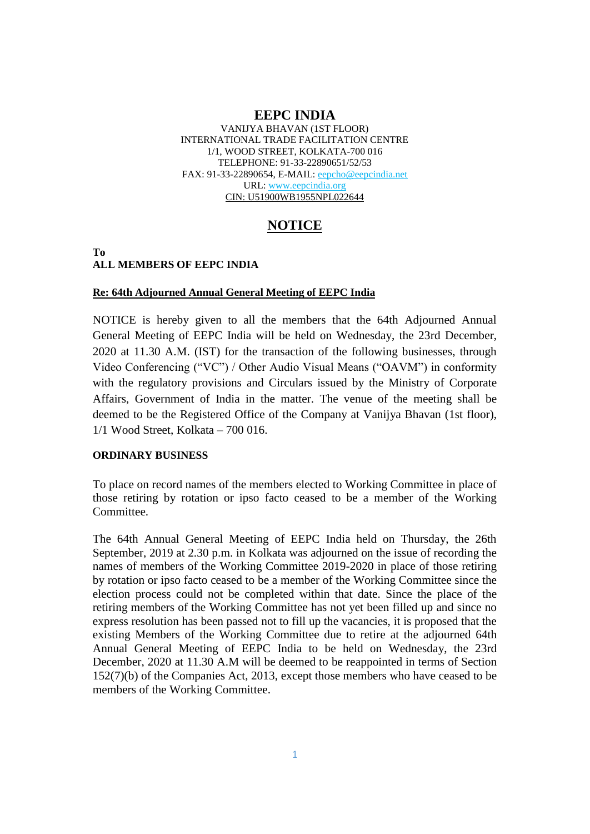### **EEPC INDIA**

VANIJYA BHAVAN (1ST FLOOR) INTERNATIONAL TRADE FACILITATION CENTRE 1/1, WOOD STREET, KOLKATA-700 016 TELEPHONE: 91-33-22890651/52/53 FAX: 91-33-22890654, E-MAIL: [eepcho@eepcindia.net](mailto:eepcho@eepcindia.net) URL: [www.eepcindia.org](http://www.eepcindia.org/) CIN: U51900WB1955NPL022644

# **NOTICE**

#### **To ALL MEMBERS OF EEPC INDIA**

#### **Re: 64th Adjourned Annual General Meeting of EEPC India**

NOTICE is hereby given to all the members that the 64th Adjourned Annual General Meeting of EEPC India will be held on Wednesday, the 23rd December, 2020 at 11.30 A.M. (IST) for the transaction of the following businesses, through Video Conferencing ("VC") / Other Audio Visual Means ("OAVM") in conformity with the regulatory provisions and Circulars issued by the Ministry of Corporate Affairs, Government of India in the matter. The venue of the meeting shall be deemed to be the Registered Office of the Company at Vanijya Bhavan (1st floor), 1/1 Wood Street, Kolkata – 700 016.

#### **ORDINARY BUSINESS**

To place on record names of the members elected to Working Committee in place of those retiring by rotation or ipso facto ceased to be a member of the Working Committee.

The 64th Annual General Meeting of EEPC India held on Thursday, the 26th September, 2019 at 2.30 p.m. in Kolkata was adjourned on the issue of recording the names of members of the Working Committee 2019-2020 in place of those retiring by rotation or ipso facto ceased to be a member of the Working Committee since the election process could not be completed within that date. Since the place of the retiring members of the Working Committee has not yet been filled up and since no express resolution has been passed not to fill up the vacancies, it is proposed that the existing Members of the Working Committee due to retire at the adjourned 64th Annual General Meeting of EEPC India to be held on Wednesday, the 23rd December, 2020 at 11.30 A.M will be deemed to be reappointed in terms of Section 152(7)(b) of the Companies Act, 2013, except those members who have ceased to be members of the Working Committee.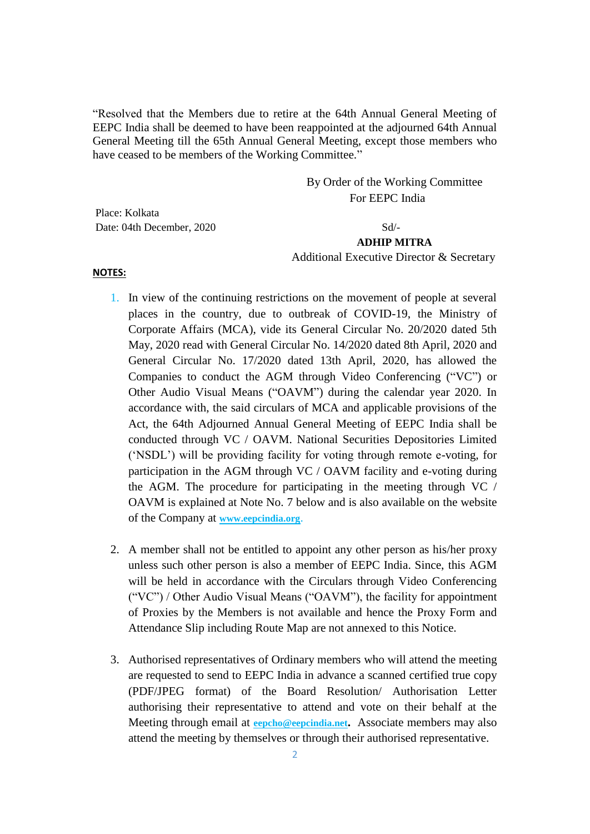"Resolved that the Members due to retire at the 64th Annual General Meeting of EEPC India shall be deemed to have been reappointed at the adjourned 64th Annual General Meeting till the 65th Annual General Meeting, except those members who have ceased to be members of the Working Committee."

> By Order of the Working Committee For EEPC India

Place: Kolkata Date: 04th December, 2020

### **ADHIP MITRA**

Additional Executive Director & Secretary

**NOTES:**

- 1. In view of the continuing restrictions on the movement of people at several places in the country, due to outbreak of COVID-19, the Ministry of Corporate Affairs (MCA), vide its General Circular No. 20/2020 dated 5th May, 2020 read with General Circular No. 14/2020 dated 8th April, 2020 and General Circular No. 17/2020 dated 13th April, 2020, has allowed the Companies to conduct the AGM through Video Conferencing ("VC") or Other Audio Visual Means ("OAVM") during the calendar year 2020. In accordance with, the said circulars of MCA and applicable provisions of the Act, the 64th Adjourned Annual General Meeting of EEPC India shall be conducted through VC / OAVM. National Securities Depositories Limited ('NSDL') will be providing facility for voting through remote e-voting, for participation in the AGM through VC / OAVM facility and e-voting during the AGM. The procedure for participating in the meeting through VC / OAVM is explained at Note No. 7 below and is also available on the website of the Company at **[www.eepcindia.org](http://www.eepcindia.org/)**.
- 2. A member shall not be entitled to appoint any other person as his/her proxy unless such other person is also a member of EEPC India. Since, this AGM will be held in accordance with the Circulars through Video Conferencing ("VC") / Other Audio Visual Means ("OAVM"), the facility for appointment of Proxies by the Members is not available and hence the Proxy Form and Attendance Slip including Route Map are not annexed to this Notice.
- 3. Authorised representatives of Ordinary members who will attend the meeting are requested to send to EEPC India in advance a scanned certified true copy (PDF/JPEG format) of the Board Resolution/ Authorisation Letter authorising their representative to attend and vote on their behalf at the Meeting through email at **[eepcho@eepcindia.net](mailto:eepcho@eepcindia.net).** Associate members may also attend the meeting by themselves or through their authorised representative.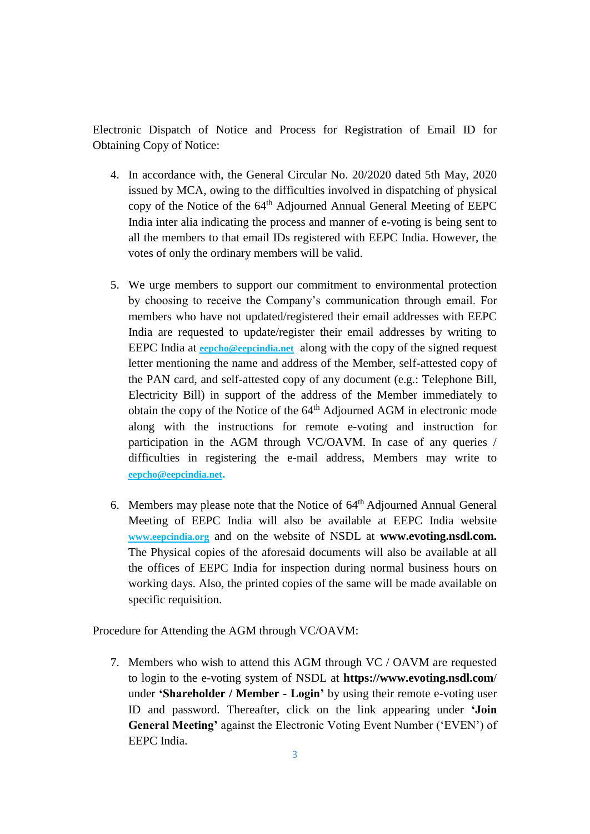Electronic Dispatch of Notice and Process for Registration of Email ID for Obtaining Copy of Notice:

- 4. In accordance with, the General Circular No. 20/2020 dated 5th May, 2020 issued by MCA, owing to the difficulties involved in dispatching of physical copy of the Notice of the 64<sup>th</sup> Adjourned Annual General Meeting of EEPC India inter alia indicating the process and manner of e-voting is being sent to all the members to that email IDs registered with EEPC India. However, the votes of only the ordinary members will be valid.
- 5. We urge members to support our commitment to environmental protection by choosing to receive the Company's communication through email. For members who have not updated/registered their email addresses with EEPC India are requested to update/register their email addresses by writing to EEPC India at **[eepcho@eepcindia.net](mailto:eepcho@eepcindia.net)** along with the copy of the signed request letter mentioning the name and address of the Member, self-attested copy of the PAN card, and self-attested copy of any document (e.g.: Telephone Bill, Electricity Bill) in support of the address of the Member immediately to obtain the copy of the Notice of the 64<sup>th</sup> Adjourned AGM in electronic mode along with the instructions for remote e-voting and instruction for participation in the AGM through VC/OAVM. In case of any queries / difficulties in registering the e-mail address, Members may write to **[eepcho@eepcindia.net](mailto:eepcho@eepcindia.net).**
- 6. Members may please note that the Notice of  $64<sup>th</sup>$  Adjourned Annual General Meeting of EEPC India will also be available at EEPC India website **[www.eepcindia.org](http://www.eepcindia.org/)** and on the website of NSDL at **www.evoting.nsdl.com.**  The Physical copies of the aforesaid documents will also be available at all the offices of EEPC India for inspection during normal business hours on working days. Also, the printed copies of the same will be made available on specific requisition.

Procedure for Attending the AGM through VC/OAVM:

7. Members who wish to attend this AGM through VC / OAVM are requested to login to the e-voting system of NSDL at **https://www.evoting.nsdl.com**/ under **'Shareholder / Member - Login'** by using their remote e-voting user ID and password. Thereafter, click on the link appearing under **'Join General Meeting'** against the Electronic Voting Event Number ('EVEN') of EEPC India.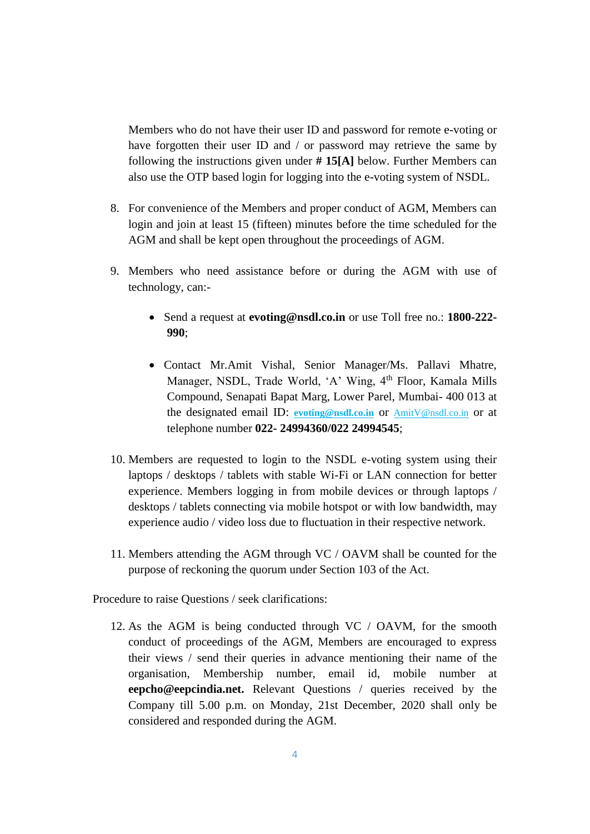Members who do not have their user ID and password for remote e-voting or have forgotten their user ID and / or password may retrieve the same by following the instructions given under **# 15[A]** below. Further Members can also use the OTP based login for logging into the e-voting system of NSDL.

- 8. For convenience of the Members and proper conduct of AGM, Members can login and join at least 15 (fifteen) minutes before the time scheduled for the AGM and shall be kept open throughout the proceedings of AGM.
- 9. Members who need assistance before or during the AGM with use of technology, can:-
	- Send a request at **evoting@nsdl.co.in** or use Toll free no.: **1800-222- 990**;
	- Contact Mr.Amit Vishal, Senior Manager/Ms. Pallavi Mhatre, Manager, NSDL, Trade World, 'A' Wing, 4<sup>th</sup> Floor, Kamala Mills Compound, Senapati Bapat Marg, Lower Parel, Mumbai- 400 013 at the designated email ID: **[evoting@nsdl.co.in](mailto:evoting@nsdl.co.in)** or [AmitV@nsdl.co.in](mailto:AmitV@nsdl.co.in) or at telephone number **022- 24994360/022 24994545**;
- 10. Members are requested to login to the NSDL e-voting system using their laptops / desktops / tablets with stable Wi-Fi or LAN connection for better experience. Members logging in from mobile devices or through laptops / desktops / tablets connecting via mobile hotspot or with low bandwidth, may experience audio / video loss due to fluctuation in their respective network.
- 11. Members attending the AGM through VC / OAVM shall be counted for the purpose of reckoning the quorum under Section 103 of the Act.

Procedure to raise Questions / seek clarifications:

12. As the AGM is being conducted through VC / OAVM, for the smooth conduct of proceedings of the AGM, Members are encouraged to express their views / send their queries in advance mentioning their name of the organisation, Membership number, email id, mobile number at **eepcho@eepcindia.net.** Relevant Questions / queries received by the Company till 5.00 p.m. on Monday, 21st December, 2020 shall only be considered and responded during the AGM.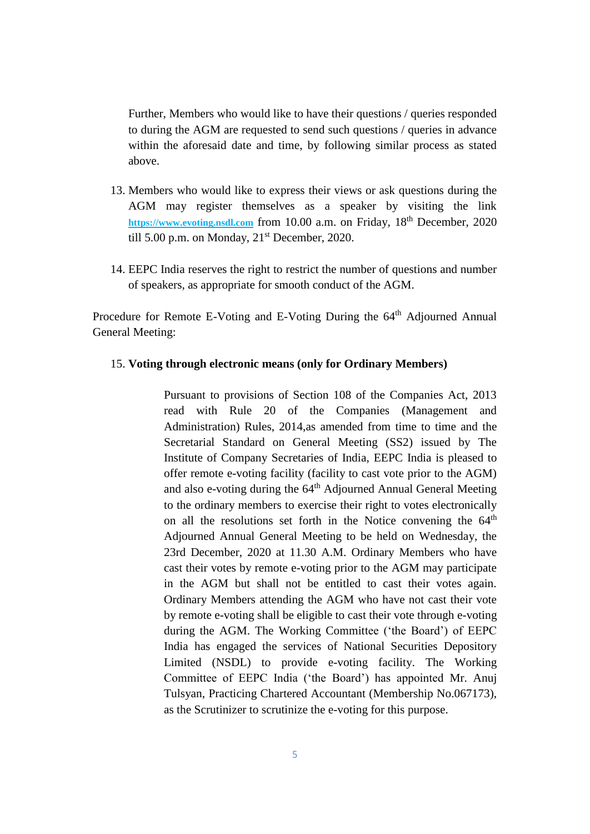Further, Members who would like to have their questions / queries responded to during the AGM are requested to send such questions / queries in advance within the aforesaid date and time, by following similar process as stated above.

- 13. Members who would like to express their views or ask questions during the AGM may register themselves as a speaker by visiting the link **[https://www.evoting.nsdl.com](https://www.evoting.nsdl.com/)** from 10.00 a.m. on Friday, 18th December, 2020 till 5.00 p.m. on Monday,  $21<sup>st</sup>$  December, 2020.
- 14. EEPC India reserves the right to restrict the number of questions and number of speakers, as appropriate for smooth conduct of the AGM.

Procedure for Remote E-Voting and E-Voting During the 64<sup>th</sup> Adjourned Annual General Meeting:

#### 15. **Voting through electronic means (only for Ordinary Members)**

Pursuant to provisions of Section 108 of the Companies Act, 2013 read with Rule 20 of the Companies (Management and Administration) Rules, 2014,as amended from time to time and the Secretarial Standard on General Meeting (SS2) issued by The Institute of Company Secretaries of India, EEPC India is pleased to offer remote e-voting facility (facility to cast vote prior to the AGM) and also e-voting during the 64<sup>th</sup> Adjourned Annual General Meeting to the ordinary members to exercise their right to votes electronically on all the resolutions set forth in the Notice convening the 64<sup>th</sup> Adjourned Annual General Meeting to be held on Wednesday, the 23rd December, 2020 at 11.30 A.M. Ordinary Members who have cast their votes by remote e-voting prior to the AGM may participate in the AGM but shall not be entitled to cast their votes again. Ordinary Members attending the AGM who have not cast their vote by remote e-voting shall be eligible to cast their vote through e-voting during the AGM. The Working Committee ('the Board') of EEPC India has engaged the services of National Securities Depository Limited (NSDL) to provide e-voting facility. The Working Committee of EEPC India ('the Board') has appointed Mr. Anuj Tulsyan, Practicing Chartered Accountant (Membership No.067173), as the Scrutinizer to scrutinize the e-voting for this purpose.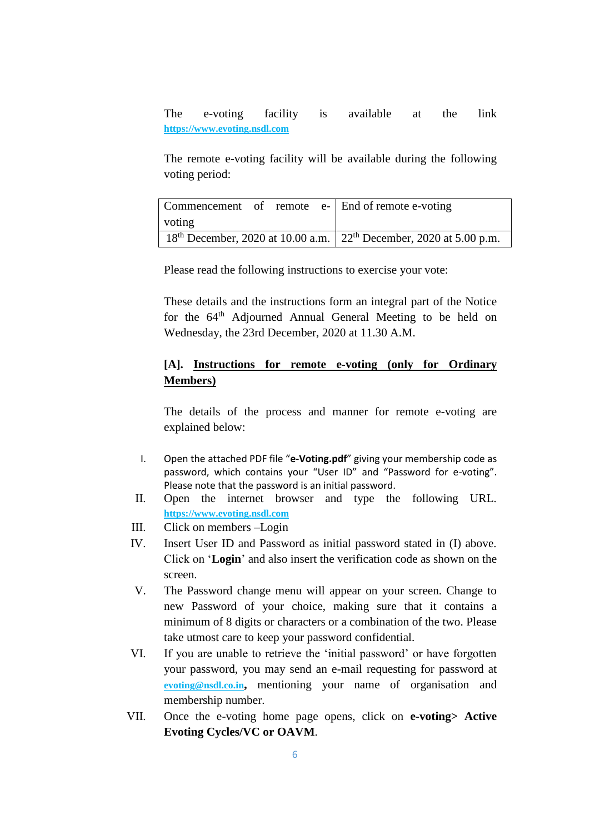The e-voting facility is available at the link **[https://www.evoting.nsdl.com](https://www.evoting.nsdl.com/)**

The remote e-voting facility will be available during the following voting period:

|                                                                          |  |  |  | Commencement of remote e- End of remote e-voting |
|--------------------------------------------------------------------------|--|--|--|--------------------------------------------------|
| voting                                                                   |  |  |  |                                                  |
| $18th$ December, 2020 at 10.00 a.m.   $22th$ December, 2020 at 5.00 p.m. |  |  |  |                                                  |

Please read the following instructions to exercise your vote:

These details and the instructions form an integral part of the Notice for the 64<sup>th</sup> Adjourned Annual General Meeting to be held on Wednesday, the 23rd December, 2020 at 11.30 A.M.

### **[A]. Instructions for remote e-voting (only for Ordinary Members)**

The details of the process and manner for remote e-voting are explained below:

- I. Open the attached PDF file "**e-Voting.pdf**" giving your membership code as password, which contains your "User ID" and "Password for e-voting". Please note that the password is an initial password.
- II. Open the internet browser and type the following URL. **[https://www.evoting.nsdl.com](https://www.evoting.nsdl.com/)**
- III. Click on members –Login
- IV. Insert User ID and Password as initial password stated in (I) above. Click on '**Login**' and also insert the verification code as shown on the screen.
- V. The Password change menu will appear on your screen. Change to new Password of your choice, making sure that it contains a minimum of 8 digits or characters or a combination of the two. Please take utmost care to keep your password confidential.
- VI. If you are unable to retrieve the 'initial password' or have forgotten your password, you may send an e-mail requesting for password at **[evoting@nsdl.co.in](mailto:evoting@nsdl.co.in),** mentioning your name of organisation and membership number.
- VII. Once the e-voting home page opens, click on **e-voting> Active Evoting Cycles/VC or OAVM**.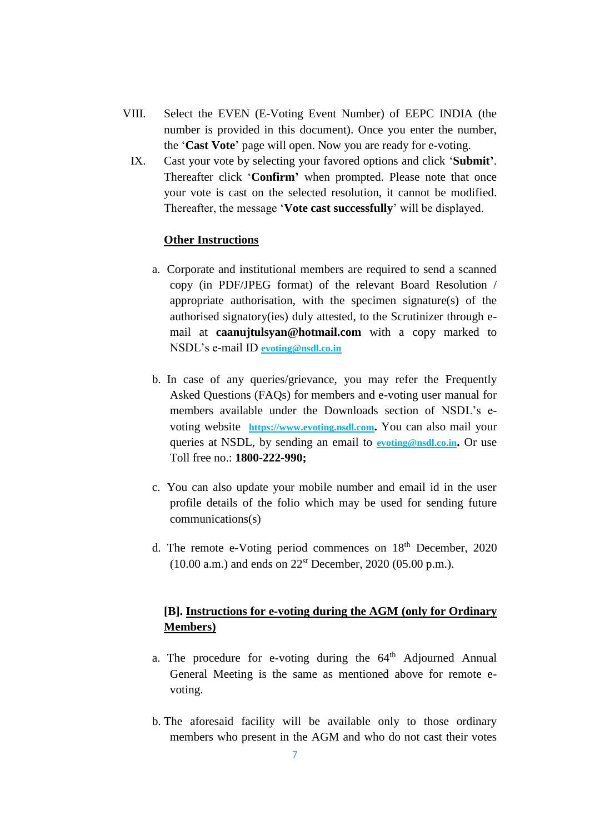- VIII. Select the EVEN (E-Voting Event Number) of EEPC INDIA (the number is provided in this document). Once you enter the number, the '**Cast Vote**' page will open. Now you are ready for e-voting.
	- IX. Cast your vote by selecting your favored options and click '**Submit'**. Thereafter click '**Confirm'** when prompted. Please note that once your vote is cast on the selected resolution, it cannot be modified. Thereafter, the message '**Vote cast successfully**' will be displayed.

### **Other Instructions**

- a. Corporate and institutional members are required to send a scanned copy (in PDF/JPEG format) of the relevant Board Resolution / appropriate authorisation, with the specimen signature(s) of the authorised signatory(ies) duly attested, to the Scrutinizer through email at **caanujtulsyan@hotmail.com** with a copy marked to NSDL's e-mail ID **[evoting@nsdl.co.in](mailto:evoting@nsdl.co.in)**
- b. In case of any queries/grievance, you may refer the Frequently Asked Questions (FAQs) for members and e-voting user manual for members available under the Downloads section of NSDL's evoting website **[https://www.evoting.nsdl.com](https://www.evoting.nsdl.com/).** You can also mail your queries at NSDL, by sending an email to **[evoting@nsdl.co.in](mailto:evoting@nsdl.co.in).** Or use Toll free no.: **1800-222-990;**
- c. You can also update your mobile number and email id in the user profile details of the folio which may be used for sending future communications(s)
- d. The remote e-Voting period commences on  $18<sup>th</sup>$  December, 2020  $(10.00 \text{ a.m.})$  and ends on  $22^{\text{st}}$  December,  $2020 (05.00 \text{ p.m.})$ .

# **[B]. Instructions for e-voting during the AGM (only for Ordinary Members)**

- a. The procedure for e-voting during the  $64<sup>th</sup>$  Adjourned Annual General Meeting is the same as mentioned above for remote evoting.
- b. The aforesaid facility will be available only to those ordinary members who present in the AGM and who do not cast their votes